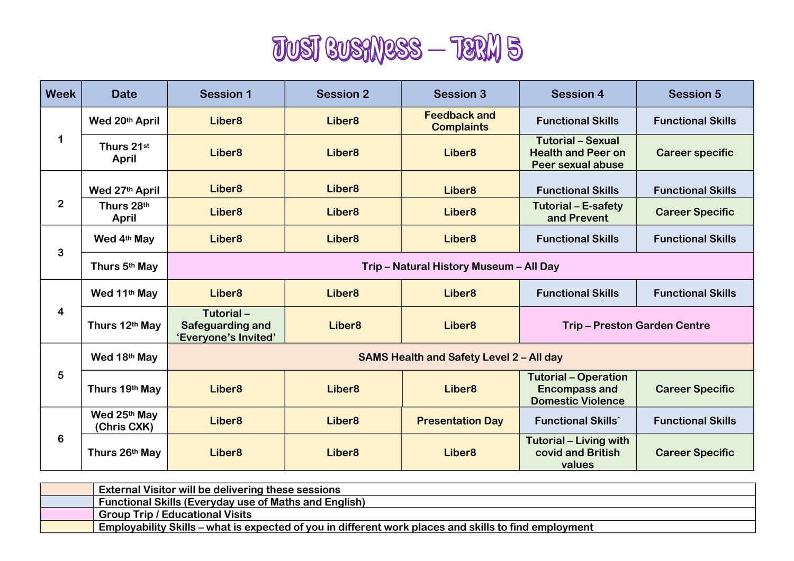

| <b>Week</b>    | <b>Date</b>                 | <b>Session 1</b>                                             | <b>Session 2</b>   | <b>Session 3</b>                         | <b>Session 4</b>                                                                | <b>Session 5</b>         |
|----------------|-----------------------------|--------------------------------------------------------------|--------------------|------------------------------------------|---------------------------------------------------------------------------------|--------------------------|
| 1              | Wed 20th April              | Liber <sub>8</sub>                                           | Liber <sub>8</sub> | <b>Feedback and</b><br><b>Complaints</b> | <b>Functional Skills</b>                                                        | <b>Functional Skills</b> |
|                | Thurs 21st<br>April         | Liber <sub>8</sub>                                           | Liber <sub>8</sub> | Liber <sub>8</sub>                       | <b>Tutorial - Sexual</b><br><b>Health and Peer on</b><br>Peer sexual abuse      | <b>Career specific</b>   |
| $\overline{2}$ | Wed 27th April              | Liber <sub>8</sub>                                           | Liber <sub>8</sub> | Liber <sub>8</sub>                       | <b>Functional Skills</b>                                                        | <b>Functional Skills</b> |
|                | Thurs 28th<br>April         | Liber <sub>8</sub>                                           | Liber <sub>8</sub> | Liber <sub>8</sub>                       | <b>Tutorial - E-safety</b><br>and Prevent                                       | <b>Career Specific</b>   |
| 3              | Wed 4th May                 | Liber <sub>8</sub>                                           | Liber <sub>8</sub> | Liber <sub>8</sub>                       | <b>Functional Skills</b>                                                        | <b>Functional Skills</b> |
|                | Thurs 5th May               | Trip - Natural History Museum - All Day                      |                    |                                          |                                                                                 |                          |
| 4              | Wed 11th May                | Liber <sub>8</sub>                                           | Liber <sub>8</sub> | Liber <sub>8</sub>                       | <b>Functional Skills</b>                                                        | <b>Functional Skills</b> |
|                | Thurs 12th May              | Tutorial-<br><b>Safeguarding and</b><br>'Everyone's Invited' | Liber <sub>8</sub> | Liber <sub>8</sub>                       | <b>Trip-Preston Garden Centre</b>                                               |                          |
| 5              | Wed 18th May                | <b>SAMS Health and Safety Level 2 - All day</b>              |                    |                                          |                                                                                 |                          |
|                | Thurs 19th May              | Liber <sub>8</sub>                                           | Liber <sub>8</sub> | Liber <sub>8</sub>                       | <b>Tutorial - Operation</b><br><b>Encompass and</b><br><b>Domestic Violence</b> | <b>Career Specific</b>   |
| 6              | Wed 25th May<br>(Chris CXK) | Liber <sub>8</sub>                                           | Liber <sub>8</sub> | <b>Presentation Day</b>                  | <b>Functional Skills</b>                                                        | <b>Functional Skills</b> |
|                | Thurs 26th May              | Liber <sub>8</sub>                                           | Liber <sub>8</sub> | Liber <sub>8</sub>                       | <b>Tutorial - Living with</b><br>covid and British<br>values                    | <b>Career Specific</b>   |

| External Visitor will be delivering these sessions                                                    |  |  |  |  |
|-------------------------------------------------------------------------------------------------------|--|--|--|--|
| Functional Skills (Everyday use of Maths and English)                                                 |  |  |  |  |
| ' Group Trip / Educational Visits                                                                     |  |  |  |  |
| Employability Skills – what is expected of you in different work places and skills to find employment |  |  |  |  |